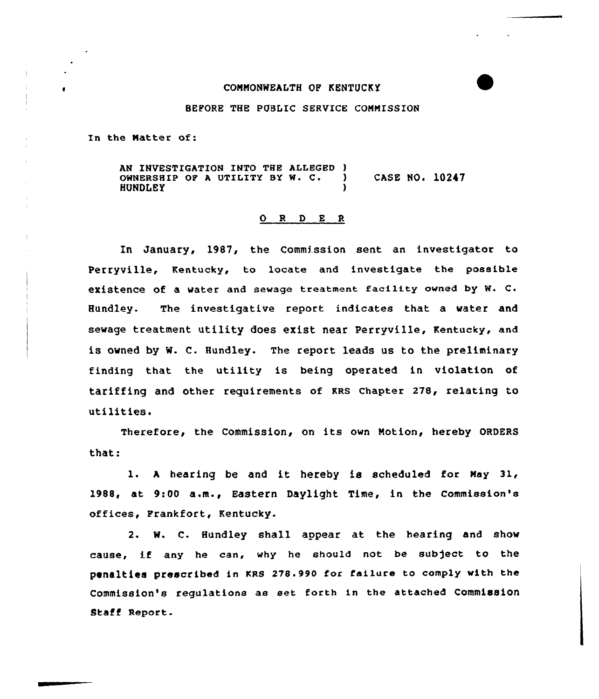# COMMONWEALTH OF KENTUCKY

#### BEFORE THE PUBLIC SERVICE CONNISSION

In the Natter of:

AN INVESTIGATION INTO THE ALLEGED )<br>OWNERSHIP OF A UTILITY BY W. C. ) owNERsHIP OP <sup>A</sup> UTILITY BY w. C. } CASE NO. 10247 **HUNDLEY** 

## 0 <sup>R</sup> <sup>D</sup> <sup>E</sup> <sup>R</sup>

In January, 1987, the Commission sent an investigator to Perryville, Kentucky, to locate and investigate the possible existence of a water and sewage treatment facility owned by W. C. Hundley. The investigative report indicates that a water and sewage treatment utility does exist near Perryville, Kentucky, and is owned by W. C. Bundley. The report leads us to the preliminary finding that the utility is being operated in violation of tariffing and other requirements of KRs chapter 278, relating to utilities.

Therefore, the Commission, on its own Notion, hereby ORDERS that:

1. <sup>A</sup> hearing be and it hereby is scheduled for Nay 31, 1988, at 9:00 a.m.< Eastern Daylight Time, in the Commission's offices, Frankfort, Kentucky.

2. N. C. Hundley shall appear at the hearing and show cause, if any he can, why he should not be subject to the penalties prescribed in KRS 278.990 for failure to comply with the Commission's regulations ae set forth in the attached Commission Staff Report.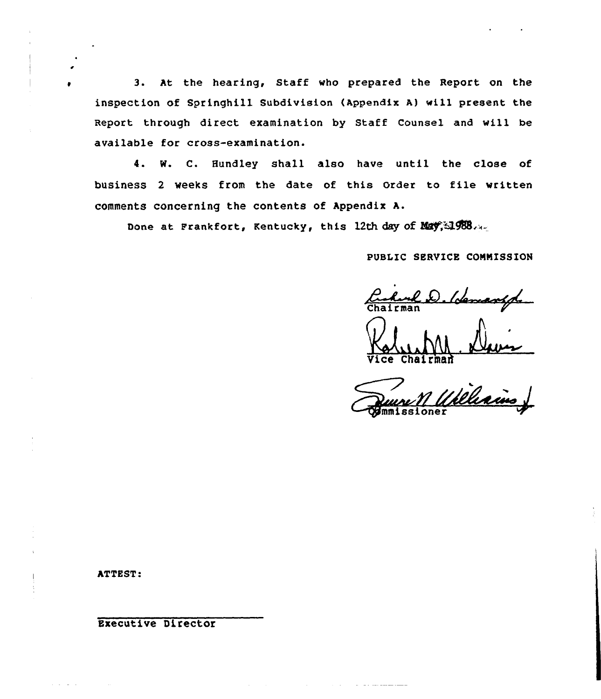3. At the hearing, Staff who prepared the Report on the inspection of Springhill Subdivision (Appendix Al wi11 present the Report through direct examination by Staff Counsel and will be available for cross-examination.

4. W. C. Hundley shall also have until the close of business <sup>2</sup> weeks from the date of this Order to file written comments concerning the contents of Appendix A.

Done at Frankfort, Kentucky, this 12th day of May, 1988.

PUBLIC SERVICE CONNISSION

hurl D. Hemanspo

Chairman

Richains

and the contract and some state of

ATTEST:

Executive Director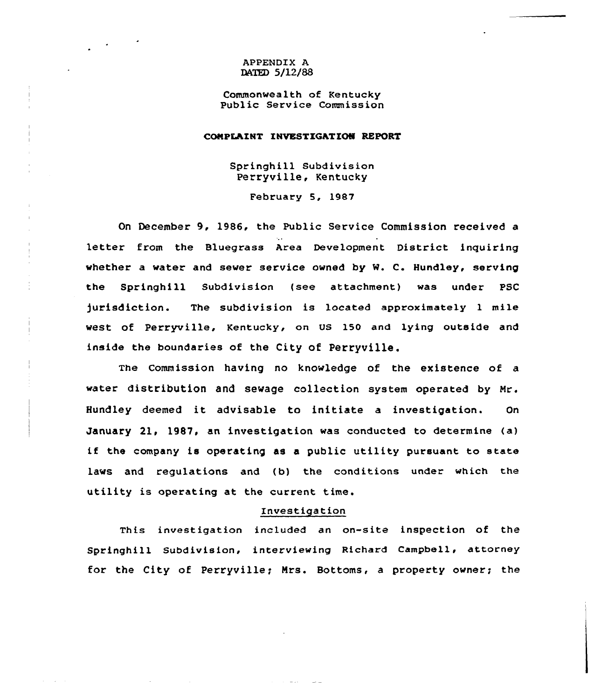## APPENDIX A DATED 5/12/88

Commonwealth of Kentucky Public Service Commission

#### COMPLAINT INVESTIGATIQN REPORT

Springhill Subdivision Perryville, Kentucky

February 5, 1987

On December 9, 1986, the Public Service Commission received a letter from the Bluegrass Area Development District inquiring whether a water and sewer service owned by M. C. Hundley, serving the Springhill Subdivision (see attachment) was under PSC )urisdiction. The subdivision is located approximately 1 mile west of Perryville, Kentucky, on US 150 and lying outside and inside the boundaries of the City of Perryville.

The Commission having no knowledge of the existence of a water distribution and sewage collection system operated by Mr. Hundley deemed it advisable to initiate <sup>a</sup> investigation. On January 21, 1987, an investigation was conducted to determine (a) if the company is operating as <sup>a</sup> public utility pursuant to state laws and regulations and (b) the conditions under which the utility is operating at the current time.

#### Investigation

This investigation included an on-site inspection of the Springhill Subdivision, interviewing Richard Campbell, attorney for the City of Perryville; Mrs. Bottoms, a property owner; the

 $\sim 10^{-1}$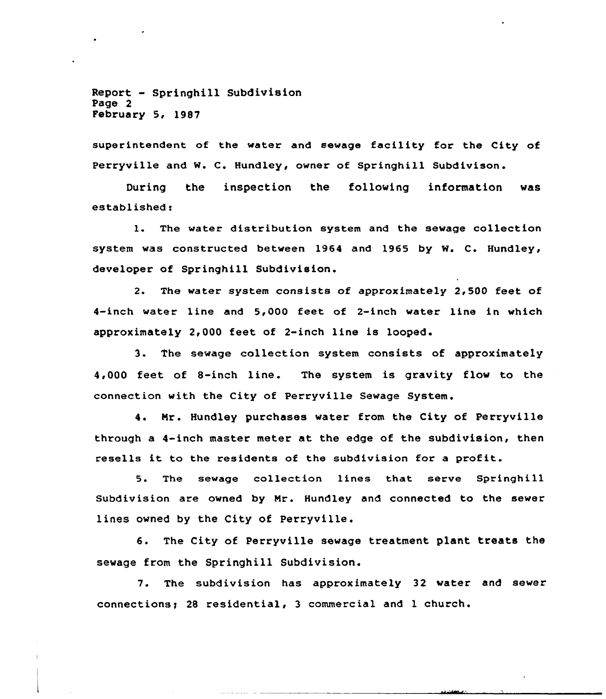Report - Springhill Subdivision Page 2 February 5< 1987

superintendent of the water and sewage facility for the City of Perryville and W. C. Hundley, owner of Springhill Subdivison.

During the inspection the following information was established <sup>i</sup>

1. The water distribution system and the sewage collection system was constructed between 1964 and 1965 by M. C. Hundley, developer of Springhill Subdivision.

2. The water system consists of approximately 2,500 feet of 4-inch water line and 5,000 feet of 2-inch water line in which approximately 2,000 feet of 2-inch line is looped.

3. The sewage collection system consists of approximately 4,000 feet of 8-inch line. The system is gravity flow to the connection with the City of Perryville Sewage System.

4. Mr. Hundley purchases water from the City of Perryville through a 4-inch master meter at the edge of the subdivision, then resells it to the residents of the subdivision for <sup>a</sup> profit.

5. The sewage collection lines that serve Springhill Subdivision are owned by Nr. Hundley and connected to the sewer lines owned by the City of Perryville.

6. The City of Perryville sewage treatment plant treats the sewage from the Springhill Subdivision.

7. The subdivision has approximately 32 water and sewer connections> <sup>28</sup> residential, 3 commercial and <sup>1</sup> church.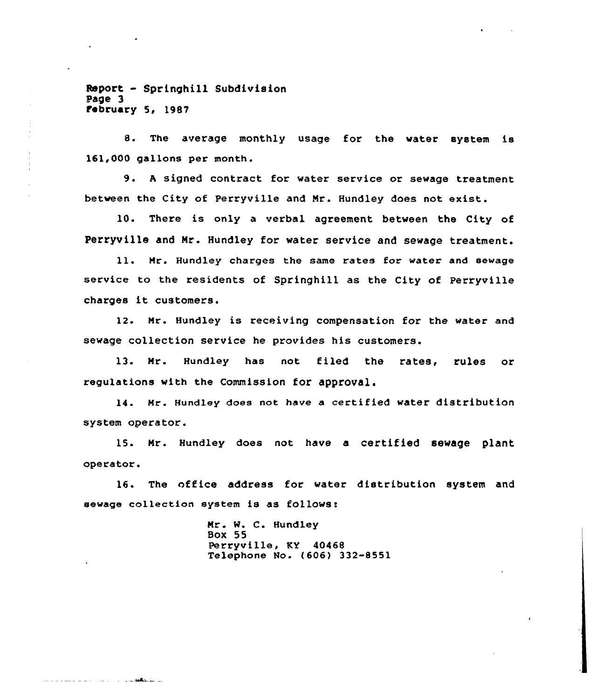Report - Springhill Subdivision Page 3 February 5, 1987

<u> 2008 - John John John Maria II</u>

8. The average monthly usage for the water system is 161,000 gallons per month.

9. <sup>A</sup> signed contract for water service or sewage treatment between the City of Perryville and Nr. Hundley does not exist.

10. There is only a verbal agreement between the City of Perryville and Nr. Hundley for water service and sewage treatment.

ll. Nr. Hundley charges the same rates for water and sewage service to the residents of Springhill as the City of Perryville charges it customers.

12. Nr. Hundley is receiving compensation for the water and sewage collection service he provides his customers.

13. Nr. Hundley has not filed the rates, rules or regulations with the Commission for approval.

14. Nr. Hundley does not have a certified water distribution system operator.

15. Nr. Hundley does not have a certified sewage plant operator.

16. The office address for water distribution system and sewage collection system is as follows:

> Nr. W. C. Hundley Box 55 Perryville, KY 40468 Telephone No. (606) 332-8551